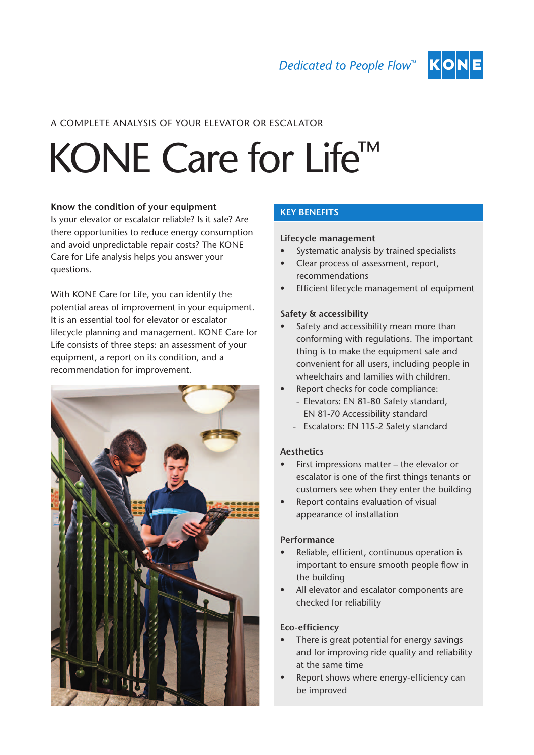

## A COMPLETE ANALYSIS OF YOUR ELEVATOR OR ESCALATOR

# KONE Care for Life™

#### **Know the condition of your equipment**

Is your elevator or escalator reliable? Is it safe? Are there opportunities to reduce energy consumption and avoid unpredictable repair costs? The KONE Care for Life analysis helps you answer your questions.

With KONE Care for Life, you can identify the potential areas of improvement in your equipment. It is an essential tool for elevator or escalator lifecycle planning and management. KONE Care for Life consists of three steps: an assessment of your equipment, a report on its condition, and a recommendation for improvement.



### KEY BENEFITS

#### **Lifecycle management**

- Systematic analysis by trained specialists
- Clear process of assessment, report, recommendations
- • Efficient lifecycle management of equipment

#### **Safety & accessibility**

- Safety and accessibility mean more than conforming with regulations. The important thing is to make the equipment safe and convenient for all users, including people in wheelchairs and families with children.
- Report checks for code compliance:
	- Elevators: EN 81-80 Safety standard, EN 81-70 Accessibility standard
	- Escalators: EN 115-2 Safety standard

#### **Aesthetics**

- First impressions matter  $-$  the elevator or escalator is one of the first things tenants or customers see when they enter the building
- • Report contains evaluation of visual appearance of installation

#### **Performance**

- • Reliable, efficient, continuous operation is important to ensure smooth people flow in the building
- • All elevator and escalator components are checked for reliability

#### **Eco-efficiency**

- There is great potential for energy savings and for improving ride quality and reliability at the same time
- Report shows where energy-efficiency can be improved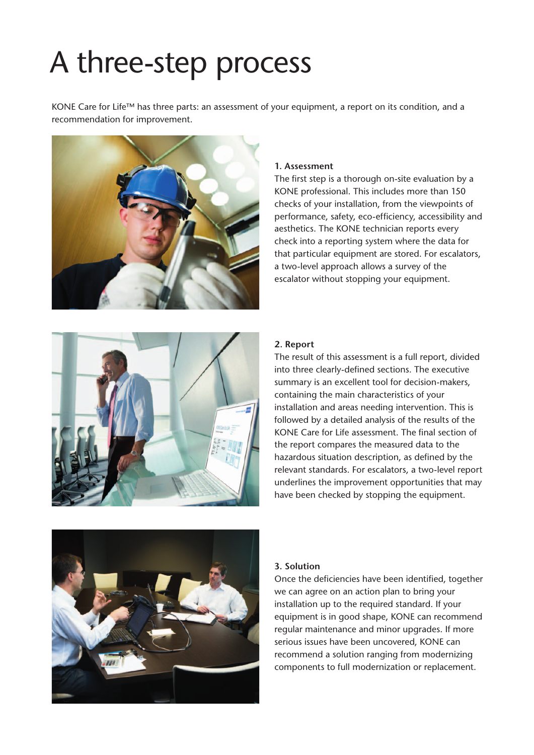# A three-step process

KONE Care for Life™ has three parts: an assessment of your equipment, a report on its condition, and a recommendation for improvement.



#### **1. Assessment**

The first step is a thorough on-site evaluation by a KONE professional. This includes more than 150 checks of your installation, from the viewpoints of performance, safety, eco-efficiency, accessibility and aesthetics. The KONE technician reports every check into a reporting system where the data for that particular equipment are stored. For escalators, a two-level approach allows a survey of the escalator without stopping your equipment.



#### **2. Report**

The result of this assessment is a full report, divided into three clearly-defined sections. The executive summary is an excellent tool for decision-makers, containing the main characteristics of your installation and areas needing intervention. This is followed by a detailed analysis of the results of the KONE Care for Life assessment. The final section of the report compares the measured data to the hazardous situation description, as defined by the relevant standards. For escalators, a two-level report underlines the improvement opportunities that may have been checked by stopping the equipment.



#### **3. Solution**

Once the deficiencies have been identified, together we can agree on an action plan to bring your installation up to the required standard. If your equipment is in good shape, KONE can recommend regular maintenance and minor upgrades. If more serious issues have been uncovered, KONE can recommend a solution ranging from modernizing components to full modernization or replacement.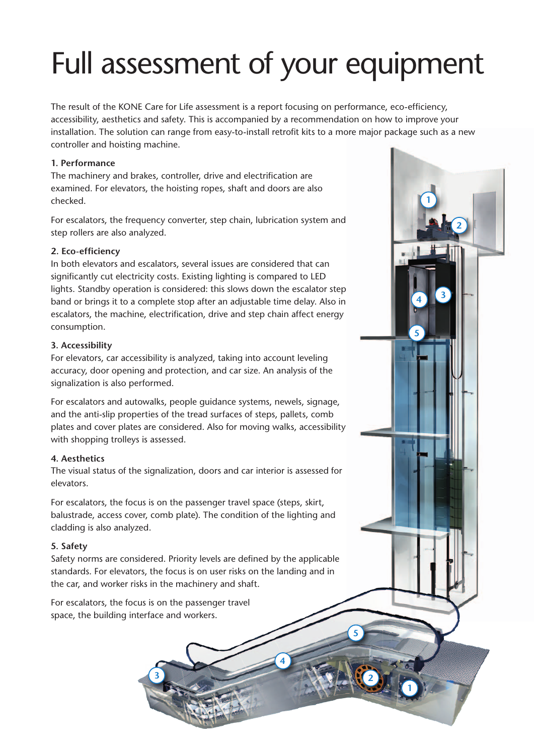# Full assessment of your equipment

The result of the KONE Care for Life assessment is a report focusing on performance, eco-efficiency, accessibility, aesthetics and safety. This is accompanied by a recommendation on how to improve your installation. The solution can range from easy-to-install retrofit kits to a more major package such as a new controller and hoisting machine.

**2**

**<sup>3</sup> <sup>4</sup>**

**1**

**5**

**1**

**2**

**5**

**4**

### **1. Performance**

The machinery and brakes, controller, drive and electrification are examined. For elevators, the hoisting ropes, shaft and doors are also checked.

For escalators, the frequency converter, step chain, lubrication system and step rollers are also analyzed.

#### **2. Eco-efficiency**

In both elevators and escalators, several issues are considered that can significantly cut electricity costs. Existing lighting is compared to LED lights. Standby operation is considered: this slows down the escalator step band or brings it to a complete stop after an adjustable time delay. Also in escalators, the machine, electrification, drive and step chain affect energy consumption.

#### **3. Accessibility**

For elevators, car accessibility is analyzed, taking into account leveling accuracy, door opening and protection, and car size. An analysis of the signalization is also performed.

For escalators and autowalks, people guidance systems, newels, signage, and the anti-slip properties of the tread surfaces of steps, pallets, comb plates and cover plates are considered. Also for moving walks, accessibility with shopping trolleys is assessed.

#### **4. Aesthetics**

The visual status of the signalization, doors and car interior is assessed for elevators.

For escalators, the focus is on the passenger travel space (steps, skirt, balustrade, access cover, comb plate). The condition of the lighting and cladding is also analyzed.

#### **5. Safety**

Safety norms are considered. Priority levels are defined by the applicable standards. For elevators, the focus is on user risks on the landing and in the car, and worker risks in the machinery and shaft.

For escalators, the focus is on the passenger travel space, the building interface and workers.

**3**